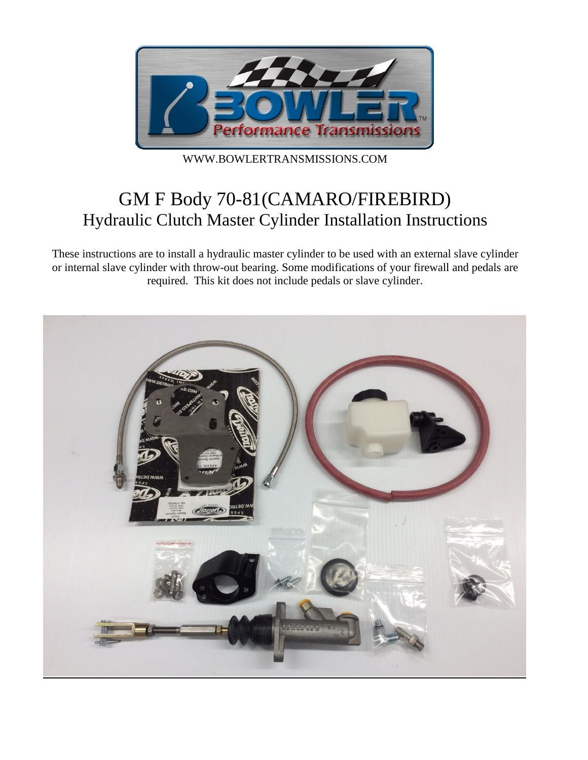

WWW.BOWLERTRANSMISSIONS.COM

# GM F Body 70-81(CAMARO/FIREBIRD) Hydraulic Clutch Master Cylinder Installation Instructions

These instructions are to install a hydraulic master cylinder to be used with an external slave cylinder or internal slave cylinder with throw-out bearing. Some modifications of your firewall and pedals are required. This kit does not include pedals or slave cylinder.

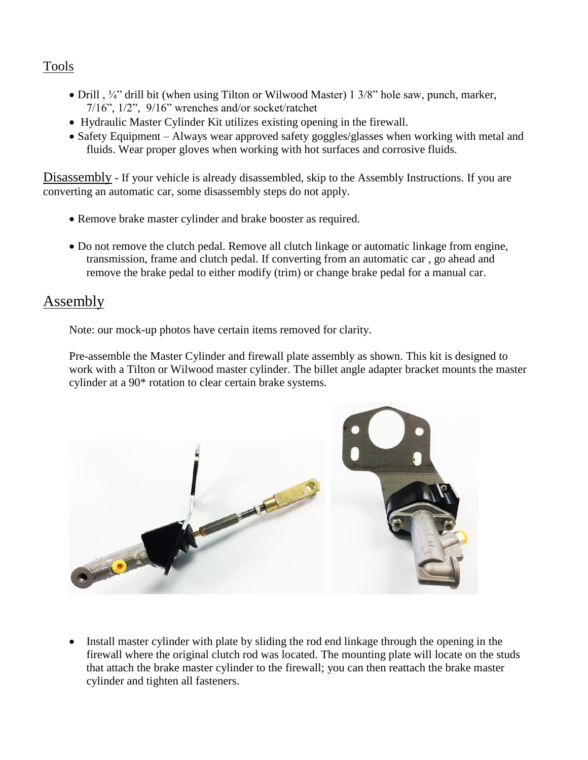# Tools

- Drill ,  $\frac{3}{4}$ " drill bit (when using Tilton or Wilwood Master) 1 3/8" hole saw, punch, marker, 7/16", 1/2", 9/16" wrenches and/or socket/ratchet
- Hydraulic Master Cylinder Kit utilizes existing opening in the firewall.
- Safety Equipment Always wear approved safety goggles/glasses when working with metal and fluids. Wear proper gloves when working with hot surfaces and corrosive fluids.

Disassembly - If your vehicle is already disassembled, skip to the Assembly Instructions. If you are converting an automatic car, some disassembly steps do not apply.

- Remove brake master cylinder and brake booster as required.
- Do not remove the clutch pedal. Remove all clutch linkage or automatic linkage from engine, transmission, frame and clutch pedal. If converting from an automatic car , go ahead and remove the brake pedal to either modify (trim) or change brake pedal for a manual car.

# **Assembly**

Note: our mock-up photos have certain items removed for clarity.

Pre-assemble the Master Cylinder and firewall plate assembly as shown. This kit is designed to work with a Tilton or Wilwood master cylinder. The billet angle adapter bracket mounts the master cylinder at a 90\* rotation to clear certain brake systems.



• Install master cylinder with plate by sliding the rod end linkage through the opening in the firewall where the original clutch rod was located. The mounting plate will locate on the studs that attach the brake master cylinder to the firewall; you can then reattach the brake master cylinder and tighten all fasteners.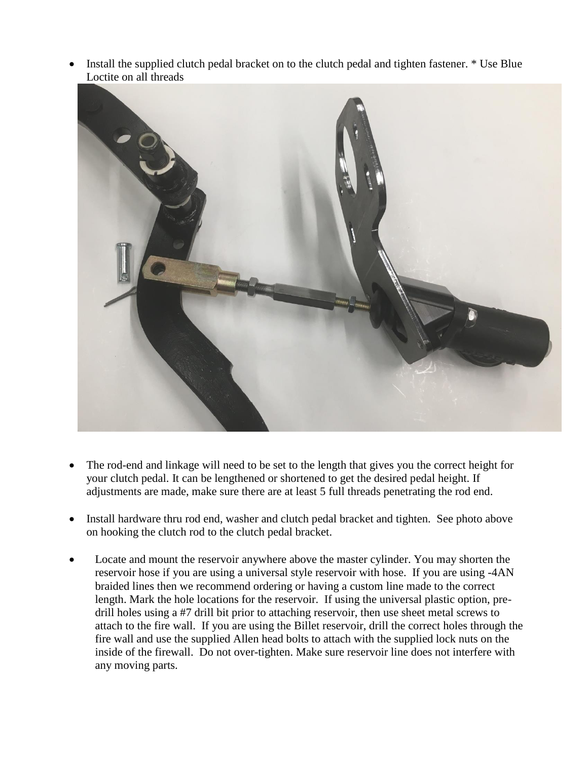Install the supplied clutch pedal bracket on to the clutch pedal and tighten fastener. \* Use Blue Loctite on all threads



- The rod-end and linkage will need to be set to the length that gives you the correct height for your clutch pedal. It can be lengthened or shortened to get the desired pedal height. If adjustments are made, make sure there are at least 5 full threads penetrating the rod end.
- Install hardware thru rod end, washer and clutch pedal bracket and tighten. See photo above on hooking the clutch rod to the clutch pedal bracket.
- Locate and mount the reservoir anywhere above the master cylinder. You may shorten the reservoir hose if you are using a universal style reservoir with hose. If you are using -4AN braided lines then we recommend ordering or having a custom line made to the correct length. Mark the hole locations for the reservoir. If using the universal plastic option, predrill holes using a #7 drill bit prior to attaching reservoir, then use sheet metal screws to attach to the fire wall. If you are using the Billet reservoir, drill the correct holes through the fire wall and use the supplied Allen head bolts to attach with the supplied lock nuts on the inside of the firewall. Do not over-tighten. Make sure reservoir line does not interfere with any moving parts.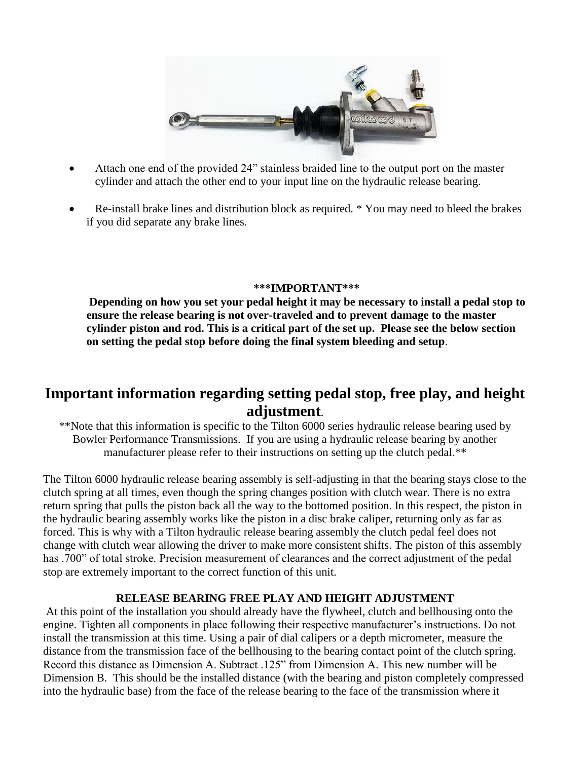

- Attach one end of the provided 24" stainless braided line to the output port on the master cylinder and attach the other end to your input line on the hydraulic release bearing.
- Re-install brake lines and distribution block as required. \* You may need to bleed the brakes if you did separate any brake lines.

#### **\*\*\*IMPORTANT\*\*\***

**Depending on how you set your pedal height it may be necessary to install a pedal stop to ensure the release bearing is not over-traveled and to prevent damage to the master cylinder piston and rod. This is a critical part of the set up. Please see the below section on setting the pedal stop before doing the final system bleeding and setup**.

# **Important information regarding setting pedal stop, free play, and height adjustment**.

\*\*Note that this information is specific to the Tilton 6000 series hydraulic release bearing used by Bowler Performance Transmissions. If you are using a hydraulic release bearing by another manufacturer please refer to their instructions on setting up the clutch pedal.\*\*

The Tilton 6000 hydraulic release bearing assembly is self-adjusting in that the bearing stays close to the clutch spring at all times, even though the spring changes position with clutch wear. There is no extra return spring that pulls the piston back all the way to the bottomed position. In this respect, the piston in the hydraulic bearing assembly works like the piston in a disc brake caliper, returning only as far as forced. This is why with a Tilton hydraulic release bearing assembly the clutch pedal feel does not change with clutch wear allowing the driver to make more consistent shifts. The piston of this assembly has .700" of total stroke. Precision measurement of clearances and the correct adjustment of the pedal stop are extremely important to the correct function of this unit.

### **RELEASE BEARING FREE PLAY AND HEIGHT ADJUSTMENT**

At this point of the installation you should already have the flywheel, clutch and bellhousing onto the engine. Tighten all components in place following their respective manufacturer's instructions. Do not install the transmission at this time. Using a pair of dial calipers or a depth micrometer, measure the distance from the transmission face of the bellhousing to the bearing contact point of the clutch spring. Record this distance as Dimension A. Subtract .125" from Dimension A. This new number will be Dimension B. This should be the installed distance (with the bearing and piston completely compressed into the hydraulic base) from the face of the release bearing to the face of the transmission where it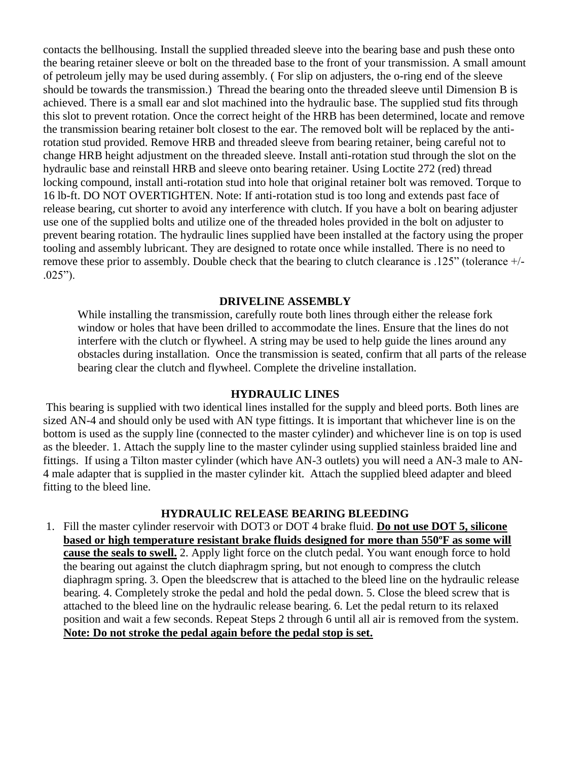contacts the bellhousing. Install the supplied threaded sleeve into the bearing base and push these onto the bearing retainer sleeve or bolt on the threaded base to the front of your transmission. A small amount of petroleum jelly may be used during assembly. ( For slip on adjusters, the o-ring end of the sleeve should be towards the transmission.) Thread the bearing onto the threaded sleeve until Dimension B is achieved. There is a small ear and slot machined into the hydraulic base. The supplied stud fits through this slot to prevent rotation. Once the correct height of the HRB has been determined, locate and remove the transmission bearing retainer bolt closest to the ear. The removed bolt will be replaced by the antirotation stud provided. Remove HRB and threaded sleeve from bearing retainer, being careful not to change HRB height adjustment on the threaded sleeve. Install anti-rotation stud through the slot on the hydraulic base and reinstall HRB and sleeve onto bearing retainer. Using Loctite 272 (red) thread locking compound, install anti-rotation stud into hole that original retainer bolt was removed. Torque to 16 lb-ft. DO NOT OVERTIGHTEN. Note: If anti-rotation stud is too long and extends past face of release bearing, cut shorter to avoid any interference with clutch. If you have a bolt on bearing adjuster use one of the supplied bolts and utilize one of the threaded holes provided in the bolt on adjuster to prevent bearing rotation. The hydraulic lines supplied have been installed at the factory using the proper tooling and assembly lubricant. They are designed to rotate once while installed. There is no need to remove these prior to assembly. Double check that the bearing to clutch clearance is .125" (tolerance +/-  $.025$ ").

#### **DRIVELINE ASSEMBLY**

While installing the transmission, carefully route both lines through either the release fork window or holes that have been drilled to accommodate the lines. Ensure that the lines do not interfere with the clutch or flywheel. A string may be used to help guide the lines around any obstacles during installation. Once the transmission is seated, confirm that all parts of the release bearing clear the clutch and flywheel. Complete the driveline installation.

#### **HYDRAULIC LINES**

This bearing is supplied with two identical lines installed for the supply and bleed ports. Both lines are sized AN-4 and should only be used with AN type fittings. It is important that whichever line is on the bottom is used as the supply line (connected to the master cylinder) and whichever line is on top is used as the bleeder. 1. Attach the supply line to the master cylinder using supplied stainless braided line and fittings. If using a Tilton master cylinder (which have AN-3 outlets) you will need a AN-3 male to AN-4 male adapter that is supplied in the master cylinder kit. Attach the supplied bleed adapter and bleed fitting to the bleed line.

### **HYDRAULIC RELEASE BEARING BLEEDING**

1. Fill the master cylinder reservoir with DOT3 or DOT 4 brake fluid. **Do not use DOT 5, silicone based or high temperature resistant brake fluids designed for more than 550ºF as some will cause the seals to swell.** 2. Apply light force on the clutch pedal. You want enough force to hold the bearing out against the clutch diaphragm spring, but not enough to compress the clutch diaphragm spring. 3. Open the bleedscrew that is attached to the bleed line on the hydraulic release bearing. 4. Completely stroke the pedal and hold the pedal down. 5. Close the bleed screw that is attached to the bleed line on the hydraulic release bearing. 6. Let the pedal return to its relaxed position and wait a few seconds. Repeat Steps 2 through 6 until all air is removed from the system. **Note: Do not stroke the pedal again before the pedal stop is set.**